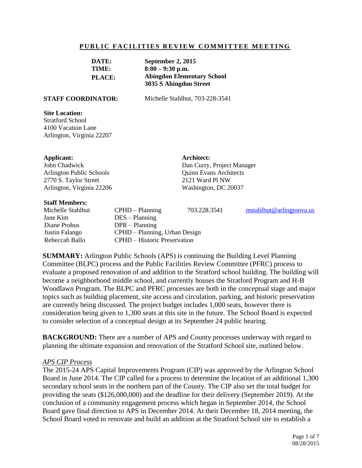#### **PUBLIC FACILITIES REVIEW COMMITTEE MEETING**

| DATE:         | September 2, 2015                 |  |
|---------------|-----------------------------------|--|
| TIME:         | $8:00 - 9:30$ p.m.                |  |
| <b>PLACE:</b> | <b>Abingdon Elementary School</b> |  |
|               | 3035 S Abingdon Street            |  |

**STAFF COORDINATOR:** Michelle Stahlhut, 703-228-3541

**Architect:**

Dan Curry, Project Manager Quinn Evans Architects 2121 Ward Pl NW Washington, DC 20037

#### **Site Location:**

Stratford School 4100 Vacation Lane Arlington, Virginia 22207

#### **Applicant:**

John Chadwick Arlington Public Schools 2770 S. Taylor Street Arlington, Virginia 22206

#### **Staff Me**

| Stait Members:    |                                     |                               |                             |  |
|-------------------|-------------------------------------|-------------------------------|-----------------------------|--|
| Michelle Stahlhut | $CPHD - Planning$                   | 703.228.3541                  | $m$ stahlhut@arlingtonya.us |  |
| Jane Kim          | $DES - Planning$                    |                               |                             |  |
| Diane Probus      | $DPR - Planning$                    |                               |                             |  |
| Justin Falango    |                                     | CPHD – Planning, Urban Design |                             |  |
| Rebeccah Ballo    | <b>CPHD</b> – Historic Preservation |                               |                             |  |

**SUMMARY:** Arlington Public Schools (APS) is continuing the Building Level Planning Committee (BLPC) process and the Public Facilities Review Committee (PFRC) process to evaluate a proposed renovation of and addition to the Stratford school building. The building will become a neighborhood middle school, and currently houses the Stratford Program and H-B Woodlawn Program. The BLPC and PFRC processes are both in the conceptual stage and major topics such as building placement, site access and circulation, parking, and historic preservation are currently being discussed. The project budget includes 1,000 seats, however there is consideration being given to 1,300 seats at this site in the future. The School Board is expected to consider selection of a conceptual design at its September 24 public hearing.

**BACKGROUND:** There are a number of APS and County processes underway with regard to planning the ultimate expansion and renovation of the Stratford School site, outlined below.

#### *APS CIP Process*

The 2015-24 APS Capital Improvements Program (CIP) was approved by the Arlington School Board in June 2014. The CIP called for a process to determine the location of an additional 1,300 secondary school seats in the northern part of the County. The CIP also set the total budget for providing the seats (\$126,000,000) and the deadline for their delivery (September 2019). At the conclusion of a community engagement process which began in September 2014, the School Board gave final direction to APS in December 2014. At their December 18, 2014 meeting, the School Board voted to renovate and build an addition at the Stratford School site to establish a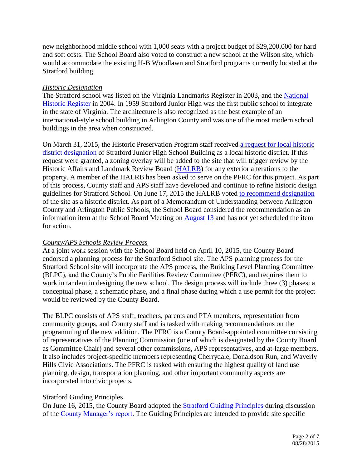new neighborhood middle school with 1,000 seats with a project budget of \$29,200,000 for hard and soft costs. The School Board also voted to construct a new school at the Wilson site, which would accommodate the existing H-B Woodlawn and Stratford programs currently located at the Stratford building.

# *Historic Designation*

The Stratford school was listed on the Virginia Landmarks Register in 2003, and the National [Historic Register](http://arlingtonva.s3.amazonaws.com/wp-content/uploads/sites/5/2013/11/Stratford-Junior-High-School-National-Register-PDF.pdf) in 2004. In 1959 Stratford Junior High was the first public school to integrate in the state of Virginia. The architecture is also recognized as the best example of an international-style school building in Arlington County and was one of the most modern school buildings in the area when constructed.

On March 31, 2015, the Historic Preservation Program staff received [a request for local historic](http://arlingtonva.s3.amazonaws.com/wp-content/uploads/sites/5/2013/11/Stratford-Designation-Study-Request-3-15.pdf)  [district designation](http://arlingtonva.s3.amazonaws.com/wp-content/uploads/sites/5/2013/11/Stratford-Designation-Study-Request-3-15.pdf) of Stratford Junior High School Building as a local historic district. If this request were granted, a zoning overlay will be added to the site that will trigger review by the Historic Affairs and Landmark Review Board [\(HALRB\)](http://commissions.arlingtonva.us/historical-affairs-landmark-review-board/) for any exterior alterations to the property. A member of the HALRB has been asked to serve on the PFRC for this project. As part of this process, County staff and APS staff have developed and continue to refine historic design guidelines for Stratford School. On June 17, 2015 the HALRB voted [to recommend designation](http://arlingtonva.s3.amazonaws.com/wp-content/uploads/sites/5/2013/12/HALRB_06.June-2015.Minutes.pdf) of the site as a historic district. As part of a Memorandum of Understanding between Arlington County and Arlington Public Schools, the School Board considered the recommendation as an information item at the School Board Meeting on [August 13](http://apsva.us/site/Default.aspx?PageID=30745) and has not yet scheduled the item for action.

# *County/APS Schools Review Process*

At a joint work session with the School Board held on April 10, 2015, the County Board endorsed a planning process for the Stratford School site. The APS planning process for the Stratford School site will incorporate the APS process, the Building Level Planning Committee (BLPC), and the County's Public Facilities Review Committee (PFRC), and requires them to work in tandem in designing the new school. The design process will include three (3) phases: a conceptual phase, a schematic phase, and a final phase during which a use permit for the project would be reviewed by the County Board.

The BLPC consists of APS staff, teachers, parents and PTA members, representation from community groups, and County staff and is tasked with making recommendations on the programming of the new addition. The PFRC is a County Board-appointed committee consisting of representatives of the Planning Commission (one of which is designated by the County Board as Committee Chair) and several other commissions, APS representatives, and at-large members. It also includes project-specific members representing Cherrydale, Donaldson Run, and Waverly Hills Civic Associations. The PFRC is tasked with ensuring the highest quality of land use planning, design, transportation planning, and other important community aspects are incorporated into civic projects.

# Stratford Guiding Principles

On June 16, 2015, the County Board adopted the **Stratford Guiding Principles** during discussion of the [County Manager's report.](http://arlington.granicus.com/GeneratedAgendaViewer.php?view_id=2&clip_id=2933) The Guiding Principles are intended to provide site specific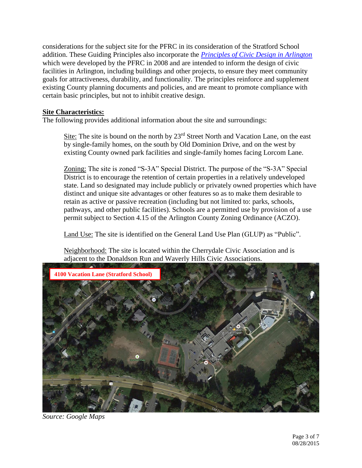considerations for the subject site for the PFRC in its consideration of the Stratford School addition. These Guiding Principles also incorporate the *[Principles of Civic Design in Arlington](http://commissions.arlingtonva.us/planning-commission/public-facilities-review-committee-pfrc/pfrc-principles-civic-design/)* which were developed by the PFRC in 2008 and are intended to inform the design of civic facilities in Arlington, including buildings and other projects, to ensure they meet community goals for attractiveness, durability, and functionality. The principles reinforce and supplement existing County planning documents and policies, and are meant to promote compliance with certain basic principles, but not to inhibit creative design.

# **Site Characteristics:**

The following provides additional information about the site and surroundings:

Site: The site is bound on the north by  $23<sup>rd</sup>$  Street North and Vacation Lane, on the east by single-family homes, on the south by Old Dominion Drive, and on the west by existing County owned park facilities and single-family homes facing Lorcom Lane.

Zoning: The site is zoned "S-3A" Special District. The purpose of the "S-3A" Special District is to encourage the retention of certain properties in a relatively undeveloped state. Land so designated may include publicly or privately owned properties which have distinct and unique site advantages or other features so as to make them desirable to retain as active or passive recreation (including but not limited to: parks, schools, pathways, and other public facilities). Schools are a permitted use by provision of a use permit subject to Section 4.15 of the Arlington County Zoning Ordinance (ACZO).

Land Use: The site is identified on the General Land Use Plan (GLUP) as "Public".

Neighborhood: The site is located within the Cherrydale Civic Association and is adjacent to the Donaldson Run and Waverly Hills Civic Associations.



*Source: Google Maps*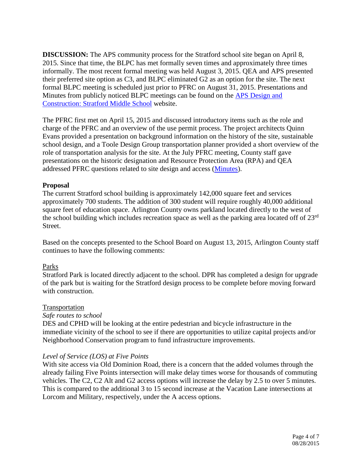**DISCUSSION:** The APS community process for the Stratford school site began on April 8, 2015. Since that time, the BLPC has met formally seven times and approximately three times informally. The most recent formal meeting was held August 3, 2015. QEA and APS presented their preferred site option as C3, and BLPC eliminated G2 as an option for the site. The next formal BLPC meeting is scheduled just prior to PFRC on August 31, 2015. Presentations and Minutes from publicly noticed BLPC meetings can be found on the [APS Design and](http://www.apsva.us/Page/29586)  [Construction: Stratford Middle School](http://www.apsva.us/Page/29586) website.

The PFRC first met on April 15, 2015 and discussed introductory items such as the role and charge of the PFRC and an overview of the use permit process. The project architects Quinn Evans provided a presentation on background information on the history of the site, sustainable school design, and a Toole Design Group transportation planner provided a short overview of the role of transportation analysis for the site. At the July PFRC meeting, County staff gave presentations on the historic designation and Resource Protection Area (RPA) and QEA addressed PFRC questions related to site design and access [\(Minutes\)](http://arlingtonva.s3.amazonaws.com/wp-content/uploads/sites/5/2015/07/Stratford_Meeting_Summary_16July2015.pdf).

# **Proposal**

The current Stratford school building is approximately 142,000 square feet and services approximately 700 students. The addition of 300 student will require roughly 40,000 additional square feet of education space. Arlington County owns parkland located directly to the west of the school building which includes recreation space as well as the parking area located off of 23rd Street.

Based on the concepts presented to the School Board on August 13, 2015, Arlington County staff continues to have the following comments:

## Parks

Stratford Park is located directly adjacent to the school. DPR has completed a design for upgrade of the park but is waiting for the Stratford design process to be complete before moving forward with construction.

## Transportation

## *Safe routes to school*

DES and CPHD will be looking at the entire pedestrian and bicycle infrastructure in the immediate vicinity of the school to see if there are opportunities to utilize capital projects and/or Neighborhood Conservation program to fund infrastructure improvements.

## *Level of Service (LOS) at Five Points*

With site access via Old Dominion Road, there is a concern that the added volumes through the already failing Five Points intersection will make delay times worse for thousands of commuting vehicles. The C2, C2 Alt and G2 access options will increase the delay by 2.5 to over 5 minutes. This is compared to the additional 3 to 15 second increase at the Vacation Lane intersections at Lorcom and Military, respectively, under the A access options.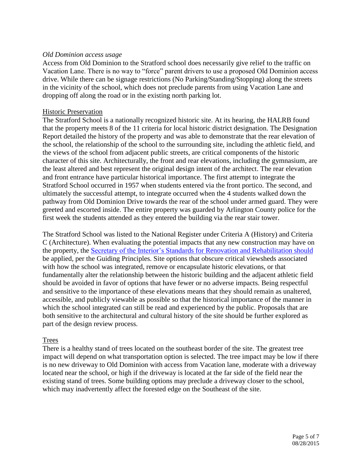## *Old Dominion access usage*

Access from Old Dominion to the Stratford school does necessarily give relief to the traffic on Vacation Lane. There is no way to "force" parent drivers to use a proposed Old Dominion access drive. While there can be signage restrictions (No Parking/Standing/Stopping) along the streets in the vicinity of the school, which does not preclude parents from using Vacation Lane and dropping off along the road or in the existing north parking lot.

#### Historic Preservation

The Stratford School is a nationally recognized historic site. At its hearing, the HALRB found that the property meets 8 of the 11 criteria for local historic district designation. The Designation Report detailed the history of the property and was able to demonstrate that the rear elevation of the school, the relationship of the school to the surrounding site, including the athletic field, and the views of the school from adjacent public streets, are critical components of the historic character of this site. Architecturally, the front and rear elevations, including the gymnasium, are the least altered and best represent the original design intent of the architect. The rear elevation and front entrance have particular historical importance. The first attempt to integrate the Stratford School occurred in 1957 when students entered via the front portico. The second, and ultimately the successful attempt, to integrate occurred when the 4 students walked down the pathway from Old Dominion Drive towards the rear of the school under armed guard. They were greeted and escorted inside. The entire property was guarded by Arlington County police for the first week the students attended as they entered the building via the rear stair tower.

The Stratford School was listed to the National Register under Criteria A (History) and Criteria C (Architecture). When evaluating the potential impacts that any new construction may have on the property, the [Secretary of the Interior's Standards for Renovation and Rehabilitation should](http://www.nps.gov/tps/standards/four-treatments/treatment-rehabilitation.htm) be applied, per the Guiding Principles. Site options that obscure critical viewsheds associated with how the school was integrated, remove or encapsulate historic elevations, or that fundamentally alter the relationship between the historic building and the adjacent athletic field should be avoided in favor of options that have fewer or no adverse impacts. Being respectful and sensitive to the importance of these elevations means that they should remain as unaltered, accessible, and publicly viewable as possible so that the historical importance of the manner in which the school integrated can still be read and experienced by the public. Proposals that are both sensitive to the architectural and cultural history of the site should be further explored as part of the design review process.

## Trees

There is a healthy stand of trees located on the southeast border of the site. The greatest tree impact will depend on what transportation option is selected. The tree impact may be low if there is no new driveway to Old Dominion with access from Vacation lane, moderate with a driveway located near the school, or high if the driveway is located at the far side of the field near the existing stand of trees. Some building options may preclude a driveway closer to the school, which may inadvertently affect the forested edge on the Southeast of the site.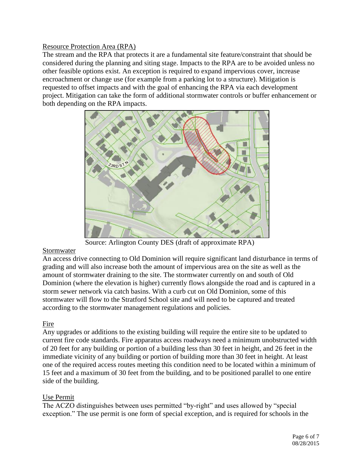## Resource Protection Area (RPA)

The stream and the RPA that protects it are a fundamental site feature/constraint that should be considered during the planning and siting stage. Impacts to the RPA are to be avoided unless no other feasible options exist. An exception is required to expand impervious cover, increase encroachment or change use (for example from a parking lot to a structure). Mitigation is requested to offset impacts and with the goal of enhancing the RPA via each development project. Mitigation can take the form of additional stormwater controls or buffer enhancement or both depending on the RPA impacts.



Source: Arlington County DES (draft of approximate RPA)

# Stormwater

An access drive connecting to Old Dominion will require significant land disturbance in terms of grading and will also increase both the amount of impervious area on the site as well as the amount of stormwater draining to the site. The stormwater currently on and south of Old Dominion (where the elevation is higher) currently flows alongside the road and is captured in a storm sewer network via catch basins. With a curb cut on Old Dominion, some of this stormwater will flow to the Stratford School site and will need to be captured and treated according to the stormwater management regulations and policies.

# Fire

Any upgrades or additions to the existing building will require the entire site to be updated to current fire code standards. Fire apparatus access roadways need a minimum unobstructed width of 20 feet for any building or portion of a building less than 30 feet in height, and 26 feet in the immediate vicinity of any building or portion of building more than 30 feet in height. At least one of the required access routes meeting this condition need to be located within a minimum of 15 feet and a maximum of 30 feet from the building, and to be positioned parallel to one entire side of the building.

# Use Permit

The ACZO distinguishes between uses permitted "by-right" and uses allowed by "special exception." The use permit is one form of special exception, and is required for schools in the